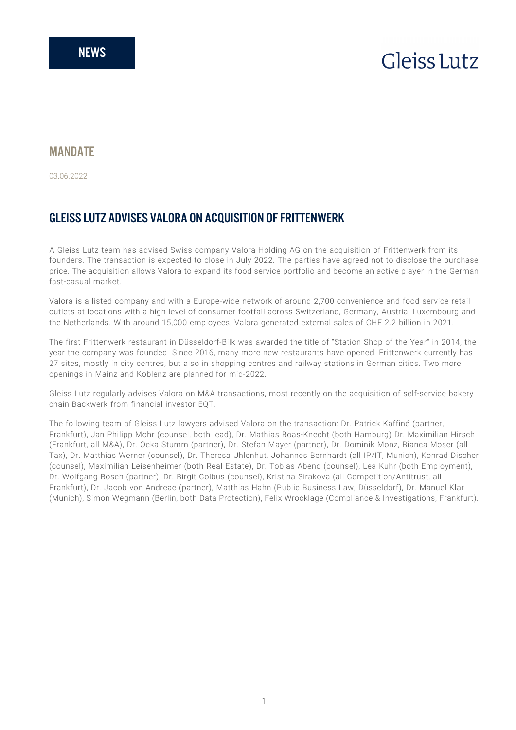# **Gleiss** Lutz

### **MANDATF**

03.06.2022

## GLEISS LUTZ ADVISES VALORA ON ACQUISITION OF FRITTENWERK

A Gleiss Lutz team has advised Swiss company Valora Holding AG on the acquisition of Frittenwerk from its founders. The transaction is expected to close in July 2022. The parties have agreed not to disclose the purchase price. The acquisition allows Valora to expand its food service portfolio and become an active player in the German fast-casual market.

Valora is a listed company and with a Europe-wide network of around 2,700 convenience and food service retail outlets at locations with a high level of consumer footfall across Switzerland, Germany, Austria, Luxembourg and the Netherlands. With around 15,000 employees, Valora generated external sales of CHF 2.2 billion in 2021.

The first Frittenwerk restaurant in Düsseldorf-Bilk was awarded the title of "Station Shop of the Year" in 2014, the year the company was founded. Since 2016, many more new restaurants have opened. Frittenwerk currently has 27 sites, mostly in city centres, but also in shopping centres and railway stations in German cities. Two more openings in Mainz and Koblenz are planned for mid-2022.

Gleiss Lutz regularly advises Valora on M&A transactions, most recently on the acquisition of self-service bakery chain Backwerk from financial investor EQT.

The following team of Gleiss Lutz lawyers advised Valora on the transaction: Dr. Patrick Kaffiné (partner, Frankfurt), Jan Philipp Mohr (counsel, both lead), Dr. Mathias Boas-Knecht (both Hamburg) Dr. Maximilian Hirsch (Frankfurt, all M&A), Dr. Ocka Stumm (partner), Dr. Stefan Mayer (partner), Dr. Dominik Monz, Bianca Moser (all Tax), Dr. Matthias Werner (counsel), Dr. Theresa Uhlenhut, Johannes Bernhardt (all IP/IT, Munich), Konrad Discher (counsel), Maximilian Leisenheimer (both Real Estate), Dr. Tobias Abend (counsel), Lea Kuhr (both Employment), Dr. Wolfgang Bosch (partner), Dr. Birgit Colbus (counsel), Kristina Sirakova (all Competition/Antitrust, all Frankfurt), Dr. Jacob von Andreae (partner), Matthias Hahn (Public Business Law, Düsseldorf), Dr. Manuel Klar (Munich), Simon Wegmann (Berlin, both Data Protection), Felix Wrocklage (Compliance & Investigations, Frankfurt).